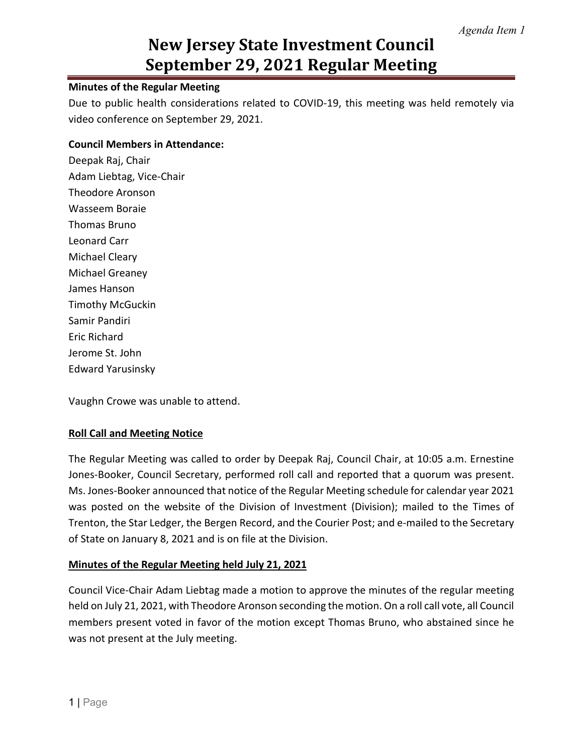### **Minutes of the Regular Meeting**

Due to public health considerations related to COVID-19, this meeting was held remotely via video conference on September 29, 2021.

#### **Council Members in Attendance:**

Deepak Raj, Chair Adam Liebtag, Vice-Chair Theodore Aronson Wasseem Boraie Thomas Bruno Leonard Carr Michael Cleary Michael Greaney James Hanson Timothy McGuckin Samir Pandiri Eric Richard Jerome St. John Edward Yarusinsky

Vaughn Crowe was unable to attend.

#### **Roll Call and Meeting Notice**

The Regular Meeting was called to order by Deepak Raj, Council Chair, at 10:05 a.m. Ernestine Jones-Booker, Council Secretary, performed roll call and reported that a quorum was present. Ms. Jones-Booker announced that notice of the Regular Meeting schedule for calendar year 2021 was posted on the website of the Division of Investment (Division); mailed to the Times of Trenton, the Star Ledger, the Bergen Record, and the Courier Post; and e-mailed to the Secretary of State on January 8, 2021 and is on file at the Division.

## **Minutes of the Regular Meeting held July 21, 2021**

Council Vice-Chair Adam Liebtag made a motion to approve the minutes of the regular meeting held on July 21, 2021, with Theodore Aronson seconding the motion. On a roll call vote, all Council members present voted in favor of the motion except Thomas Bruno, who abstained since he was not present at the July meeting.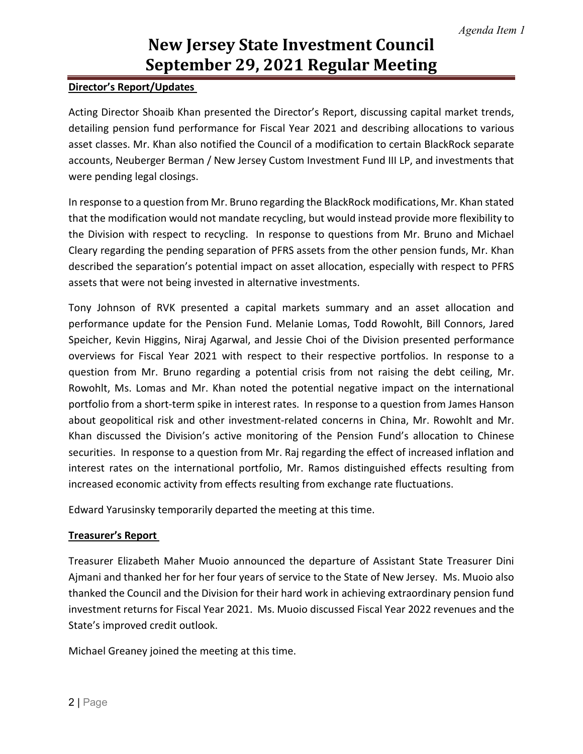## **Director's Report/Updates**

Acting Director Shoaib Khan presented the Director's Report, discussing capital market trends, detailing pension fund performance for Fiscal Year 2021 and describing allocations to various asset classes. Mr. Khan also notified the Council of a modification to certain BlackRock separate accounts, Neuberger Berman / New Jersey Custom Investment Fund III LP, and investments that were pending legal closings.

In response to a question from Mr. Bruno regarding the BlackRock modifications, Mr. Khan stated that the modification would not mandate recycling, but would instead provide more flexibility to the Division with respect to recycling. In response to questions from Mr. Bruno and Michael Cleary regarding the pending separation of PFRS assets from the other pension funds, Mr. Khan described the separation's potential impact on asset allocation, especially with respect to PFRS assets that were not being invested in alternative investments.

Tony Johnson of RVK presented a capital markets summary and an asset allocation and performance update for the Pension Fund. Melanie Lomas, Todd Rowohlt, Bill Connors, Jared Speicher, Kevin Higgins, Niraj Agarwal, and Jessie Choi of the Division presented performance overviews for Fiscal Year 2021 with respect to their respective portfolios. In response to a question from Mr. Bruno regarding a potential crisis from not raising the debt ceiling, Mr. Rowohlt, Ms. Lomas and Mr. Khan noted the potential negative impact on the international portfolio from a short-term spike in interest rates. In response to a question from James Hanson about geopolitical risk and other investment-related concerns in China, Mr. Rowohlt and Mr. Khan discussed the Division's active monitoring of the Pension Fund's allocation to Chinese securities. In response to a question from Mr. Raj regarding the effect of increased inflation and interest rates on the international portfolio, Mr. Ramos distinguished effects resulting from increased economic activity from effects resulting from exchange rate fluctuations.

Edward Yarusinsky temporarily departed the meeting at this time.

## **Treasurer's Report**

Treasurer Elizabeth Maher Muoio announced the departure of Assistant State Treasurer Dini Ajmani and thanked her for her four years of service to the State of New Jersey. Ms. Muoio also thanked the Council and the Division for their hard work in achieving extraordinary pension fund investment returns for Fiscal Year 2021. Ms. Muoio discussed Fiscal Year 2022 revenues and the State's improved credit outlook.

Michael Greaney joined the meeting at this time.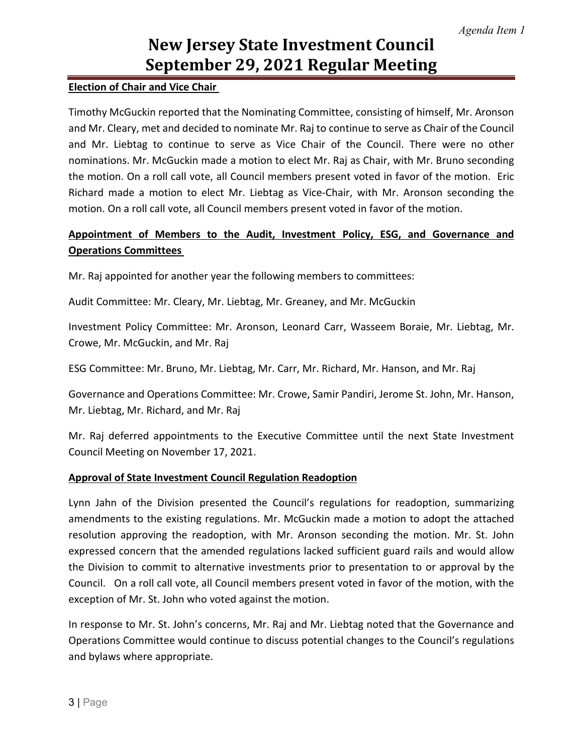## **Election of Chair and Vice Chair**

Timothy McGuckin reported that the Nominating Committee, consisting of himself, Mr. Aronson and Mr. Cleary, met and decided to nominate Mr. Raj to continue to serve as Chair of the Council and Mr. Liebtag to continue to serve as Vice Chair of the Council. There were no other nominations. Mr. McGuckin made a motion to elect Mr. Raj as Chair, with Mr. Bruno seconding the motion. On a roll call vote, all Council members present voted in favor of the motion. Eric Richard made a motion to elect Mr. Liebtag as Vice-Chair, with Mr. Aronson seconding the motion. On a roll call vote, all Council members present voted in favor of the motion.

## **Appointment of Members to the Audit, Investment Policy, ESG, and Governance and Operations Committees**

Mr. Raj appointed for another year the following members to committees:

Audit Committee: Mr. Cleary, Mr. Liebtag, Mr. Greaney, and Mr. McGuckin

Investment Policy Committee: Mr. Aronson, Leonard Carr, Wasseem Boraie, Mr. Liebtag, Mr. Crowe, Mr. McGuckin, and Mr. Raj

ESG Committee: Mr. Bruno, Mr. Liebtag, Mr. Carr, Mr. Richard, Mr. Hanson, and Mr. Raj

Governance and Operations Committee: Mr. Crowe, Samir Pandiri, Jerome St. John, Mr. Hanson, Mr. Liebtag, Mr. Richard, and Mr. Raj

Mr. Raj deferred appointments to the Executive Committee until the next State Investment Council Meeting on November 17, 2021.

## **Approval of State Investment Council Regulation Readoption**

Lynn Jahn of the Division presented the Council's regulations for readoption, summarizing amendments to the existing regulations. Mr. McGuckin made a motion to adopt the attached resolution approving the readoption, with Mr. Aronson seconding the motion. Mr. St. John expressed concern that the amended regulations lacked sufficient guard rails and would allow the Division to commit to alternative investments prior to presentation to or approval by the Council. On a roll call vote, all Council members present voted in favor of the motion, with the exception of Mr. St. John who voted against the motion.

In response to Mr. St. John's concerns, Mr. Raj and Mr. Liebtag noted that the Governance and Operations Committee would continue to discuss potential changes to the Council's regulations and bylaws where appropriate.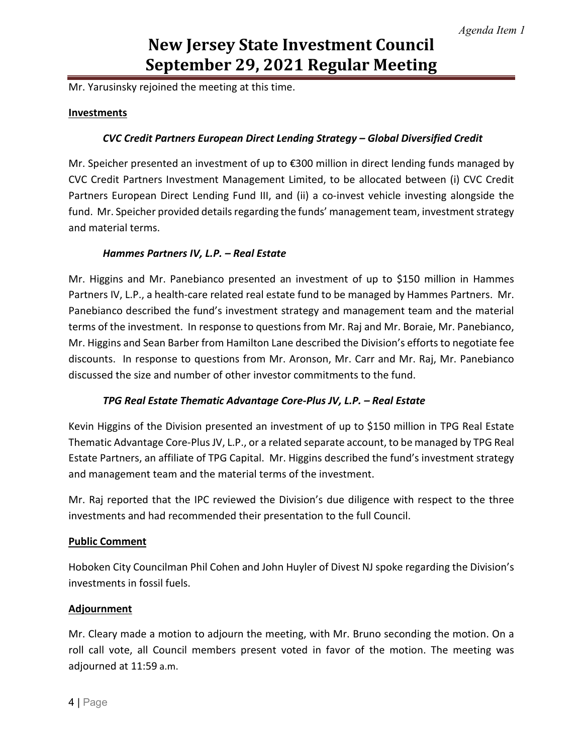Mr. Yarusinsky rejoined the meeting at this time.

### **Investments**

## *CVC Credit Partners European Direct Lending Strategy – Global Diversified Credit*

Mr. Speicher presented an investment of up to €300 million in direct lending funds managed by CVC Credit Partners Investment Management Limited, to be allocated between (i) CVC Credit Partners European Direct Lending Fund III, and (ii) a co-invest vehicle investing alongside the fund. Mr. Speicher provided details regarding the funds' management team, investment strategy and material terms.

## *Hammes Partners IV, L.P. – Real Estate*

Mr. Higgins and Mr. Panebianco presented an investment of up to \$150 million in Hammes Partners IV, L.P., a health-care related real estate fund to be managed by Hammes Partners. Mr. Panebianco described the fund's investment strategy and management team and the material terms of the investment. In response to questions from Mr. Raj and Mr. Boraie, Mr. Panebianco, Mr. Higgins and Sean Barber from Hamilton Lane described the Division's efforts to negotiate fee discounts. In response to questions from Mr. Aronson, Mr. Carr and Mr. Raj, Mr. Panebianco discussed the size and number of other investor commitments to the fund.

## *TPG Real Estate Thematic Advantage Core-Plus JV, L.P. – Real Estate*

Kevin Higgins of the Division presented an investment of up to \$150 million in TPG Real Estate Thematic Advantage Core-Plus JV, L.P., or a related separate account, to be managed by TPG Real Estate Partners, an affiliate of TPG Capital. Mr. Higgins described the fund's investment strategy and management team and the material terms of the investment.

Mr. Raj reported that the IPC reviewed the Division's due diligence with respect to the three investments and had recommended their presentation to the full Council.

## **Public Comment**

Hoboken City Councilman Phil Cohen and John Huyler of Divest NJ spoke regarding the Division's investments in fossil fuels.

## **Adjournment**

Mr. Cleary made a motion to adjourn the meeting, with Mr. Bruno seconding the motion. On a roll call vote, all Council members present voted in favor of the motion. The meeting was adjourned at 11:59 a.m.